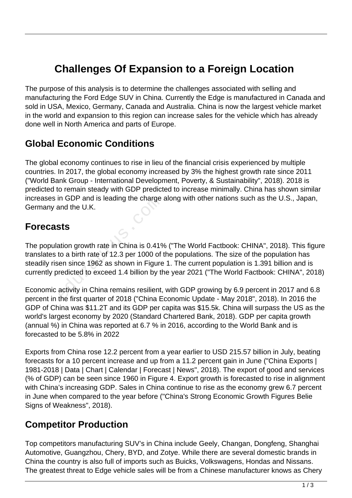# **Challenges Of Expansion to a Foreign Location**

The purpose of this analysis is to determine the challenges associated with selling and manufacturing the Ford Edge SUV in China. Currently the Edge is manufactured in Canada and sold in USA, Mexico, Germany, Canada and Australia. China is now the largest vehicle market in the world and expansion to this region can increase sales for the vehicle which has already done well in North America and parts of Europe.

#### **Global Economic Conditions**

The global economy continues to rise in lieu of the financial crisis experienced by multiple countries. In 2017, the global economy increased by 3% the highest growth rate since 2011 ("World Bank Group - International Development, Poverty, & Sustainability", 2018). 2018 is predicted to remain steady with GDP predicted to increase minimally. China has shown similar increases in GDP and is leading the charge along with other nations such as the U.S., Japan, Germany and the U.K.

### **Forecasts**

The population growth rate in China is 0.41% ("The World Factbook: CHINA", 2018). This figure translates to a birth rate of 12.3 per 1000 of the populations. The size of the population has steadily risen since 1962 as shown in Figure 1. The current population is 1.391 billion and is currently predicted to exceed 1.4 billion by the year 2021 ("The World Factbook: CHINA", 2018) in GDP and is leading the charge<br>and the U.K.<br>**StS**<br>ation growth rate in China is 0.419<br>to a birth rate of 12.3 per 1000 of<br>een since 1962 as shown in Figure<br>redicted to exceed 1.4 billion by th<br>activity in China remains r

Economic activity in China remains resilient, with GDP growing by 6.9 percent in 2017 and 6.8 percent in the first quarter of 2018 ("China Economic Update - May 2018", 2018). In 2016 the GDP of China was \$11.2T and its GDP per capita was \$15.5k. China will surpass the US as the world's largest economy by 2020 (Standard Chartered Bank, 2018). GDP per capita growth (annual %) in China was reported at 6.7 % in 2016, according to the World Bank and is forecasted to be 5.8% in 2022

Exports from China rose 12.2 percent from a year earlier to USD 215.57 billion in July, beating forecasts for a 10 percent increase and up from a 11.2 percent gain in June ("China Exports | 1981-2018 | Data | Chart | Calendar | Forecast | News", 2018). The export of good and services (% of GDP) can be seen since 1960 in Figure 4. Export growth is forecasted to rise in alignment with China's increasing GDP. Sales in China continue to rise as the economy grew 6.7 percent in June when compared to the year before ("China's Strong Economic Growth Figures Belie Signs of Weakness", 2018).

### **Competitor Production**

Top competitors manufacturing SUV's in China include Geely, Changan, Dongfeng, Shanghai Automotive, Guangzhou, Chery, BYD, and Zotye. While there are several domestic brands in China the country is also full of imports such as Buicks, Volkswagens, Hondas and Nissans. The greatest threat to Edge vehicle sales will be from a Chinese manufacturer knows as Chery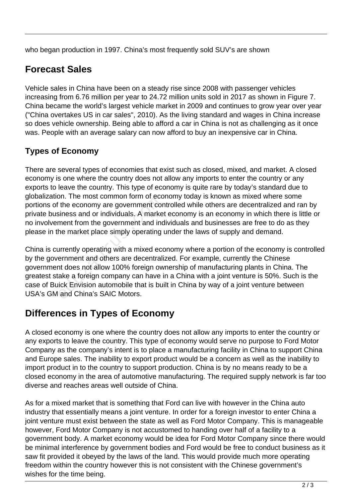who began production in 1997. China's most frequently sold SUV's are shown

### **Forecast Sales**

Vehicle sales in China have been on a steady rise since 2008 with passenger vehicles increasing from 6.76 million per year to 24.72 million units sold in 2017 as shown in Figure 7. China became the world's largest vehicle market in 2009 and continues to grow year over year ("China overtakes US in car sales", 2010). As the living standard and wages in China increase so does vehicle ownership. Being able to afford a car in China is not as challenging as it once was. People with an average salary can now afford to buy an inexpensive car in China.

#### **Types of Economy**

There are several types of economies that exist such as closed, mixed, and market. A closed economy is one where the country does not allow any imports to enter the country or any exports to leave the country. This type of economy is quite rare by today's standard due to globalization. The most common form of economy today is known as mixed where some portions of the economy are government controlled while others are decentralized and ran by private business and or individuals. A market economy is an economy in which there is little or no involvement from the government and individuals and businesses are free to do as they please in the market place simply operating under the laws of supply and demand.

China is currently operating with a mixed economy where a portion of the economy is controlled by the government and others are decentralized. For example, currently the Chinese government does not allow 100% foreign ownership of manufacturing plants in China. The greatest stake a foreign company can have in a China with a joint venture is 50%. Such is the case of Buick Envision automobile that is built in China by way of a joint venture between USA's GM and China's SAIC Motors. The most common on or occurring<br>the economy are government consiness and or individuals. A marke<br>ment from the government and inclusion<br>the market place simply operating<br>urrently operating with a mixed eco-<br>ernment and oth

## **Differences in Types of Economy**

A closed economy is one where the country does not allow any imports to enter the country or any exports to leave the country. This type of economy would serve no purpose to Ford Motor Company as the company's intent is to place a manufacturing facility in China to support China and Europe sales. The inability to export product would be a concern as well as the inability to import product in to the country to support production. China is by no means ready to be a closed economy in the area of automotive manufacturing. The required supply network is far too diverse and reaches areas well outside of China.

As for a mixed market that is something that Ford can live with however in the China auto industry that essentially means a joint venture. In order for a foreign investor to enter China a joint venture must exist between the state as well as Ford Motor Company. This is manageable however, Ford Motor Company is not accustomed to handing over half of a facility to a government body. A market economy would be idea for Ford Motor Company since there would be minimal interference by government bodies and Ford would be free to conduct business as it saw fit provided it obeyed by the laws of the land. This would provide much more operating freedom within the country however this is not consistent with the Chinese government's wishes for the time being.